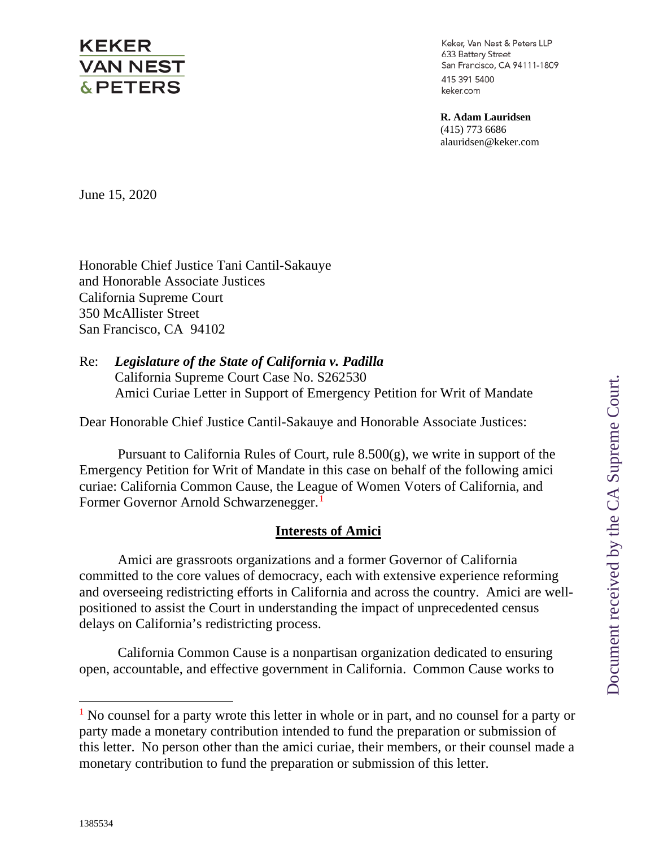# **KEKER VAN NEST & PETERS**

Keker, Van Nest & Peters LLP 633 Battery Street San Francisco, CA 94111-1809 415 391 5400 keker.com

**R. Adam Lauridsen** (415) 773 6686 alauridsen@keker.com

June 15, 2020

Honorable Chief Justice Tani Cantil-Sakauye and Honorable Associate Justices California Supreme Court 350 McAllister Street San Francisco, CA 94102

## Re: *Legislature of the State of California v. Padilla*  California Supreme Court Case No. S262530 Amici Curiae Letter in Support of Emergency Petition for Writ of Mandate

Dear Honorable Chief Justice Cantil-Sakauye and Honorable Associate Justices:

Pursuant to California Rules of Court, rule  $8.500(g)$ , we write in support of the Emergency Petition for Writ of Mandate in this case on behalf of the following amici curiae: California Common Cause, the League of Women Voters of California, and Former Governor Arnold Schwarzenegger.<sup>[1](#page-0-0)</sup>

# **Interests of Amici**

Amici are grassroots organizations and a former Governor of California committed to the core values of democracy, each with extensive experience reforming and overseeing redistricting efforts in California and across the country. Amici are wellpositioned to assist the Court in understanding the impact of unprecedented census delays on California's redistricting process.

California Common Cause is a nonpartisan organization dedicated to ensuring open, accountable, and effective government in California. Common Cause works to

<span id="page-0-0"></span> $<sup>1</sup>$  No counsel for a party wrote this letter in whole or in part, and no counsel for a party or</sup> party made a monetary contribution intended to fund the preparation or submission of this letter. No person other than the amici curiae, their members, or their counsel made a monetary contribution to fund the preparation or submission of this letter.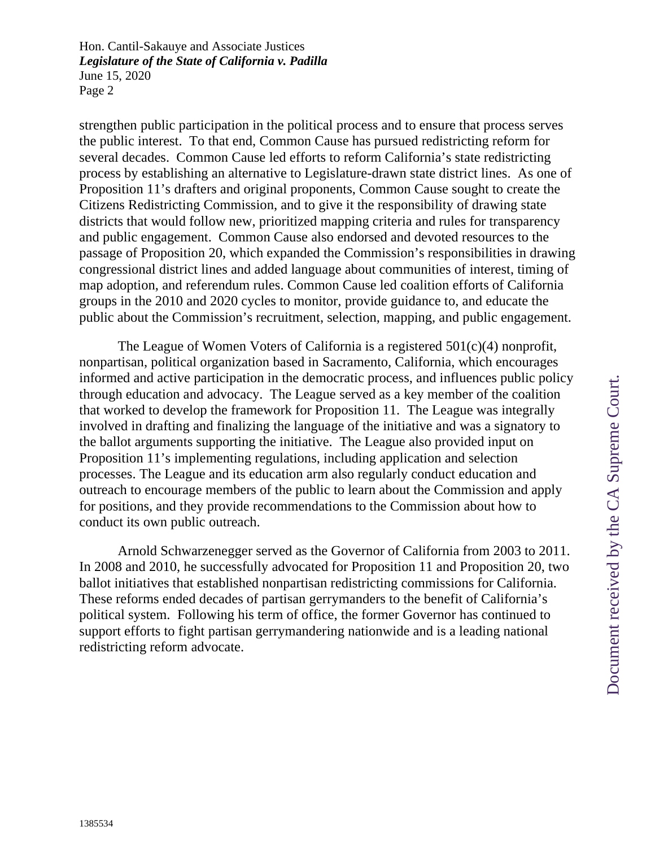strengthen public participation in the political process and to ensure that process serves the public interest. To that end, Common Cause has pursued redistricting reform for several decades. Common Cause led efforts to reform California's state redistricting process by establishing an alternative to Legislature-drawn state district lines. As one of Proposition 11's drafters and original proponents, Common Cause sought to create the Citizens Redistricting Commission, and to give it the responsibility of drawing state districts that would follow new, prioritized mapping criteria and rules for transparency and public engagement. Common Cause also endorsed and devoted resources to the passage of Proposition 20, which expanded the Commission's responsibilities in drawing congressional district lines and added language about communities of interest, timing of map adoption, and referendum rules. Common Cause led coalition efforts of California groups in the 2010 and 2020 cycles to monitor, provide guidance to, and educate the public about the Commission's recruitment, selection, mapping, and public engagement.

The League of Women Voters of California is a registered 501(c)(4) nonprofit, nonpartisan, political organization based in Sacramento, California, which encourages informed and active participation in the democratic process, and influences public policy through education and advocacy. The League served as a key member of the coalition that worked to develop the framework for Proposition 11. The League was integrally involved in drafting and finalizing the language of the initiative and was a signatory to the ballot arguments supporting the initiative. The League also provided input on Proposition 11's implementing regulations, including application and selection processes. The League and its education arm also regularly conduct education and outreach to encourage members of the public to learn about the Commission and apply for positions, and they provide recommendations to the Commission about how to conduct its own public outreach.

Arnold Schwarzenegger served as the Governor of California from 2003 to 2011. In 2008 and 2010, he successfully advocated for Proposition 11 and Proposition 20, two ballot initiatives that established nonpartisan redistricting commissions for California. These reforms ended decades of partisan gerrymanders to the benefit of California's political system. Following his term of office, the former Governor has continued to support efforts to fight partisan gerrymandering nationwide and is a leading national redistricting reform advocate.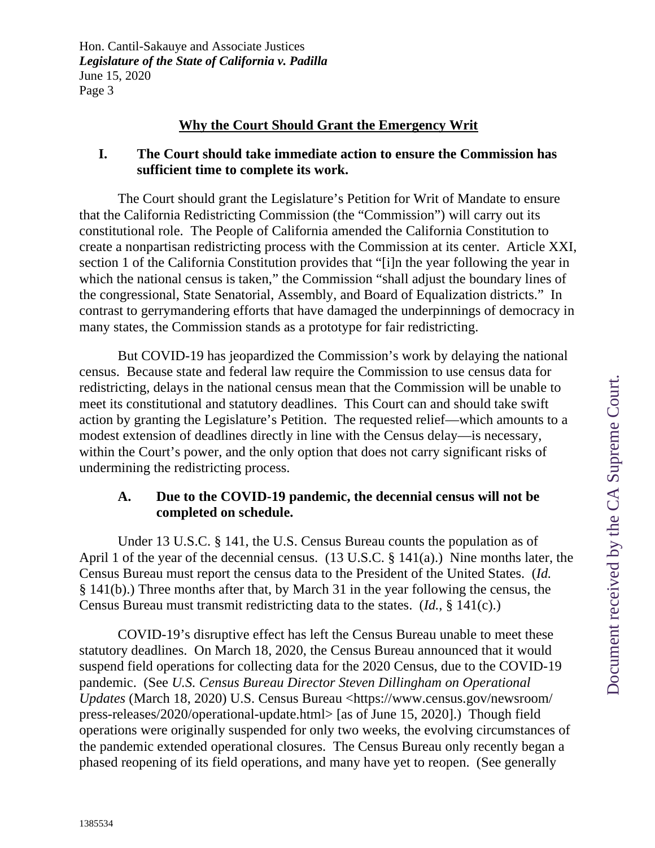## **Why the Court Should Grant the Emergency Writ**

#### **I. The Court should take immediate action to ensure the Commission has sufficient time to complete its work.**

The Court should grant the Legislature's Petition for Writ of Mandate to ensure that the California Redistricting Commission (the "Commission") will carry out its constitutional role. The People of California amended the California Constitution to create a nonpartisan redistricting process with the Commission at its center. Article XXI, section 1 of the California Constitution provides that "[i]n the year following the year in which the national census is taken," the Commission "shall adjust the boundary lines of the congressional, State Senatorial, Assembly, and Board of Equalization districts." In contrast to gerrymandering efforts that have damaged the underpinnings of democracy in many states, the Commission stands as a prototype for fair redistricting.

But COVID-19 has jeopardized the Commission's work by delaying the national census. Because state and federal law require the Commission to use census data for redistricting, delays in the national census mean that the Commission will be unable to meet its constitutional and statutory deadlines. This Court can and should take swift action by granting the Legislature's Petition. The requested relief—which amounts to a modest extension of deadlines directly in line with the Census delay—is necessary, within the Court's power, and the only option that does not carry significant risks of undermining the redistricting process.

## **A. Due to the COVID-19 pandemic, the decennial census will not be completed on schedule.**

Under 13 U.S.C. § 141, the U.S. Census Bureau counts the population as of April 1 of the year of the decennial census. (13 U.S.C. § 141(a).) Nine months later, the Census Bureau must report the census data to the President of the United States. (*Id.* § 141(b).) Three months after that, by March 31 in the year following the census, the Census Bureau must transmit redistricting data to the states. (*Id.*, § 141(c).)

COVID-19's disruptive effect has left the Census Bureau unable to meet these statutory deadlines. On March 18, 2020, the Census Bureau announced that it would suspend field operations for collecting data for the 2020 Census, due to the COVID-19 pandemic. (See *U.S. Census Bureau Director Steven Dillingham on Operational Updates* (March 18, 2020) U.S. Census Bureau <https://www.census.gov/newsroom/ press-releases/2020/operational-update.html> [as of June 15, 2020].) Though field operations were originally suspended for only two weeks, the evolving circumstances of the pandemic extended operational closures. The Census Bureau only recently began a phased reopening of its field operations, and many have yet to reopen. (See generally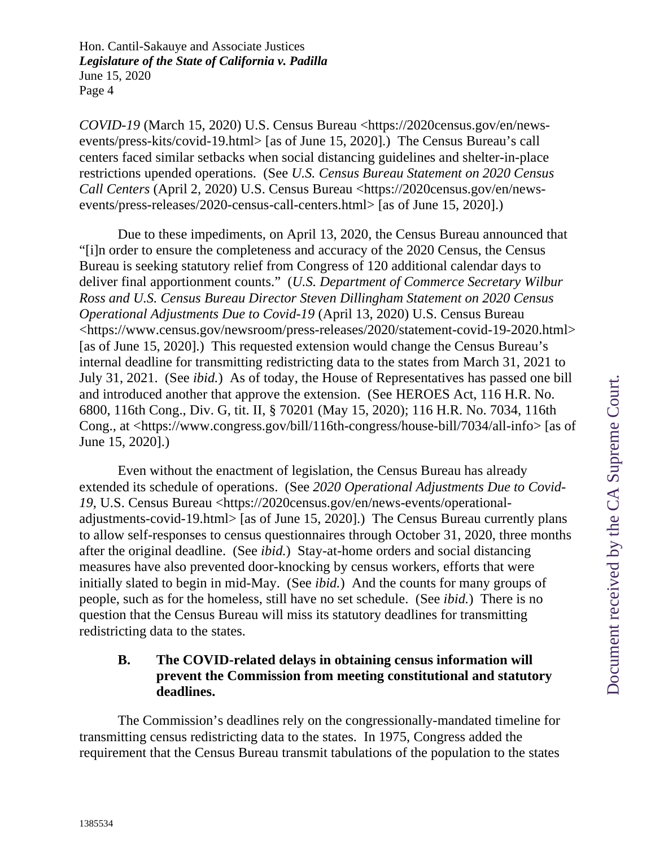*COVID-19* (March 15, 2020) U.S. Census Bureau <https://2020census.gov/en/newsevents/press-kits/covid-19.html> [as of June 15, 2020].) The Census Bureau's call centers faced similar setbacks when social distancing guidelines and shelter-in-place restrictions upended operations. (See *U.S. Census Bureau Statement on 2020 Census Call Centers* (April 2, 2020) U.S. Census Bureau <https://2020census.gov/en/newsevents/press-releases/2020-census-call-centers.html> [as of June 15, 2020].)

Due to these impediments, on April 13, 2020, the Census Bureau announced that "[i]n order to ensure the completeness and accuracy of the 2020 Census, the Census Bureau is seeking statutory relief from Congress of 120 additional calendar days to deliver final apportionment counts." (*U.S. Department of Commerce Secretary Wilbur Ross and U.S. Census Bureau Director Steven Dillingham Statement on 2020 Census Operational Adjustments Due to Covid-19* (April 13, 2020) U.S. Census Bureau <https://www.census.gov/newsroom/press-releases/2020/statement-covid-19-2020.html> [as of June 15, 2020].) This requested extension would change the Census Bureau's internal deadline for transmitting redistricting data to the states from March 31, 2021 to July 31, 2021. (See *ibid.*)As of today, the House of Representatives has passed one bill and introduced another that approve the extension. (See HEROES Act, 116 H.R. No. 6800, 116th Cong., Div. G, tit. II, § 70201 (May 15, 2020); 116 H.R. No. 7034, 116th Cong., at <https://www.congress.gov/bill/116th-congress/house-bill/7034/all-info> [as of June 15, 2020].)

Even without the enactment of legislation, the Census Bureau has already extended its schedule of operations. (See *2020 Operational Adjustments Due to Covid-19*, U.S. Census Bureau <https://2020census.gov/en/news-events/operationaladjustments-covid-19.html> [as of June 15, 2020].) The Census Bureau currently plans to allow self-responses to census questionnaires through October 31, 2020, three months after the original deadline. (See *ibid.*) Stay-at-home orders and social distancing measures have also prevented door-knocking by census workers, efforts that were initially slated to begin in mid-May. (See *ibid.*) And the counts for many groups of people, such as for the homeless, still have no set schedule. (See *ibid.*) There is no question that the Census Bureau will miss its statutory deadlines for transmitting redistricting data to the states.

## **B. The COVID-related delays in obtaining census information will prevent the Commission from meeting constitutional and statutory deadlines.**

The Commission's deadlines rely on the congressionally-mandated timeline for transmitting census redistricting data to the states. In 1975, Congress added the requirement that the Census Bureau transmit tabulations of the population to the states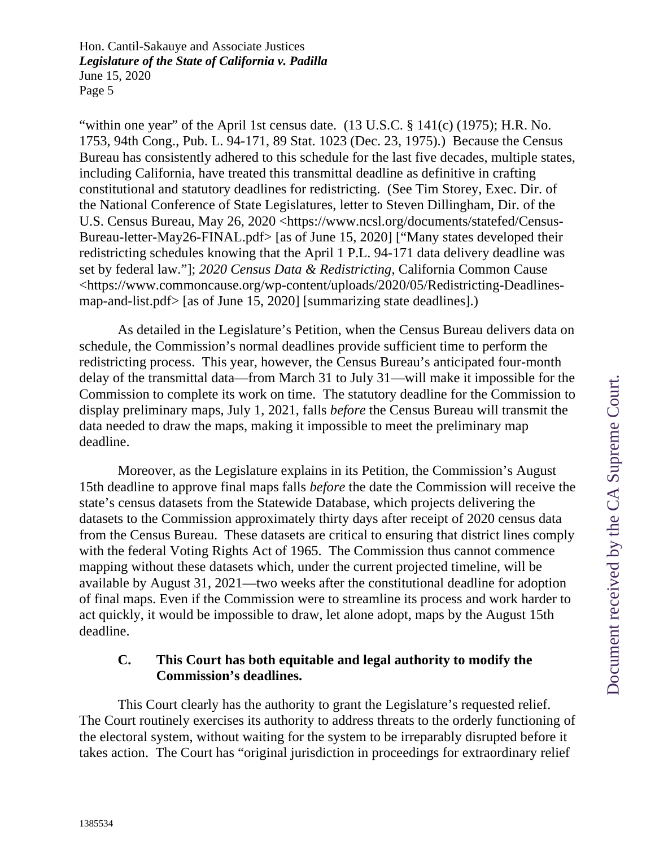"within one year" of the April 1st census date. (13 U.S.C. § 141(c) (1975); H.R. No. 1753, 94th Cong., Pub. L. 94-171, 89 Stat. 1023 (Dec. 23, 1975).) Because the Census Bureau has consistently adhered to this schedule for the last five decades, multiple states, including California, have treated this transmittal deadline as definitive in crafting constitutional and statutory deadlines for redistricting. (See Tim Storey, Exec. Dir. of the National Conference of State Legislatures, letter to Steven Dillingham, Dir. of the U.S. Census Bureau, May 26, 2020 <https://www.ncsl.org/documents/statefed/Census-Bureau-letter-May26-FINAL.pdf> [as of June 15, 2020] ["Many states developed their redistricting schedules knowing that the April 1 P.L. 94-171 data delivery deadline was set by federal law."]; *2020 Census Data & Redistricting*, California Common Cause <https://www.commoncause.org/wp-content/uploads/2020/05/Redistricting-Deadlinesmap-and-list.pdf> [as of June 15, 2020] [summarizing state deadlines].)

As detailed in the Legislature's Petition, when the Census Bureau delivers data on schedule, the Commission's normal deadlines provide sufficient time to perform the redistricting process. This year, however, the Census Bureau's anticipated four-month delay of the transmittal data—from March 31 to July 31—will make it impossible for the Commission to complete its work on time. The statutory deadline for the Commission to display preliminary maps, July 1, 2021, falls *before* the Census Bureau will transmit the data needed to draw the maps, making it impossible to meet the preliminary map deadline.

Moreover, as the Legislature explains in its Petition, the Commission's August 15th deadline to approve final maps falls *before* the date the Commission will receive the state's census datasets from the Statewide Database, which projects delivering the datasets to the Commission approximately thirty days after receipt of 2020 census data from the Census Bureau. These datasets are critical to ensuring that district lines comply with the federal Voting Rights Act of 1965. The Commission thus cannot commence mapping without these datasets which, under the current projected timeline, will be available by August 31, 2021—two weeks after the constitutional deadline for adoption of final maps. Even if the Commission were to streamline its process and work harder to act quickly, it would be impossible to draw, let alone adopt, maps by the August 15th deadline.

# **C. This Court has both equitable and legal authority to modify the Commission's deadlines.**

This Court clearly has the authority to grant the Legislature's requested relief. The Court routinely exercises its authority to address threats to the orderly functioning of the electoral system, without waiting for the system to be irreparably disrupted before it takes action. The Court has "original jurisdiction in proceedings for extraordinary relief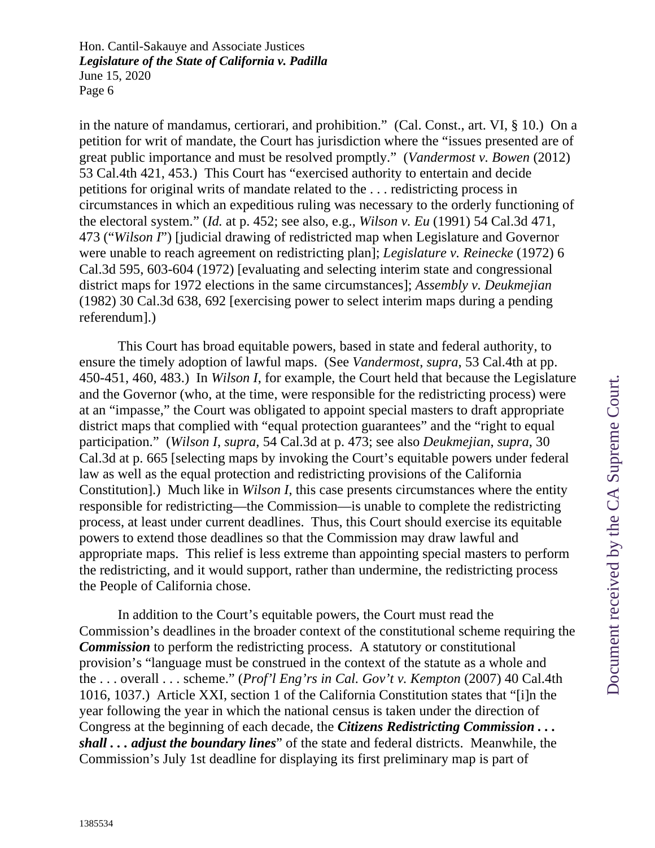in the nature of mandamus, certiorari, and prohibition." (Cal. Const., art. VI, § 10.) On a petition for writ of mandate, the Court has jurisdiction where the "issues presented are of great public importance and must be resolved promptly." (*Vandermost v. Bowen* (2012) 53 Cal.4th 421, 453.) This Court has "exercised authority to entertain and decide petitions for original writs of mandate related to the . . . redistricting process in circumstances in which an expeditious ruling was necessary to the orderly functioning of the electoral system." (*Id.* at p. 452; see also, e.g., *Wilson v. Eu* (1991) 54 Cal.3d 471, 473 ("*Wilson I*") [judicial drawing of redistricted map when Legislature and Governor were unable to reach agreement on redistricting plan]; *Legislature v. Reinecke* (1972) 6 Cal.3d 595, 603-604 (1972) [evaluating and selecting interim state and congressional district maps for 1972 elections in the same circumstances]; *Assembly v. Deukmejian* (1982) 30 Cal.3d 638, 692 [exercising power to select interim maps during a pending referendum].)

This Court has broad equitable powers, based in state and federal authority, to ensure the timely adoption of lawful maps. (See *Vandermost*, *supra*, 53 Cal.4th at pp. 450-451, 460, 483.) In *Wilson I*, for example, the Court held that because the Legislature and the Governor (who, at the time, were responsible for the redistricting process) were at an "impasse," the Court was obligated to appoint special masters to draft appropriate district maps that complied with "equal protection guarantees" and the "right to equal participation." (*Wilson I*, *supra*, 54 Cal.3d at p. 473; see also *Deukmejian*, *supra*, 30 Cal.3d at p. 665 [selecting maps by invoking the Court's equitable powers under federal law as well as the equal protection and redistricting provisions of the California Constitution].) Much like in *Wilson I*, this case presents circumstances where the entity responsible for redistricting—the Commission—is unable to complete the redistricting process, at least under current deadlines. Thus, this Court should exercise its equitable powers to extend those deadlines so that the Commission may draw lawful and appropriate maps. This relief is less extreme than appointing special masters to perform the redistricting, and it would support, rather than undermine, the redistricting process the People of California chose.

In addition to the Court's equitable powers, the Court must read the Commission's deadlines in the broader context of the constitutional scheme requiring the *Commission* to perform the redistricting process. A statutory or constitutional provision's "language must be construed in the context of the statute as a whole and the . . . overall . . . scheme." (*Prof'l Eng'rs in Cal. Gov't v. Kempton* (2007) 40 Cal.4th 1016, 1037.) Article XXI, section 1 of the California Constitution states that "[i]n the year following the year in which the national census is taken under the direction of Congress at the beginning of each decade, the *Citizens Redistricting Commission . . . shall . . . adjust the boundary lines*" of the state and federal districts. Meanwhile, the Commission's July 1st deadline for displaying its first preliminary map is part of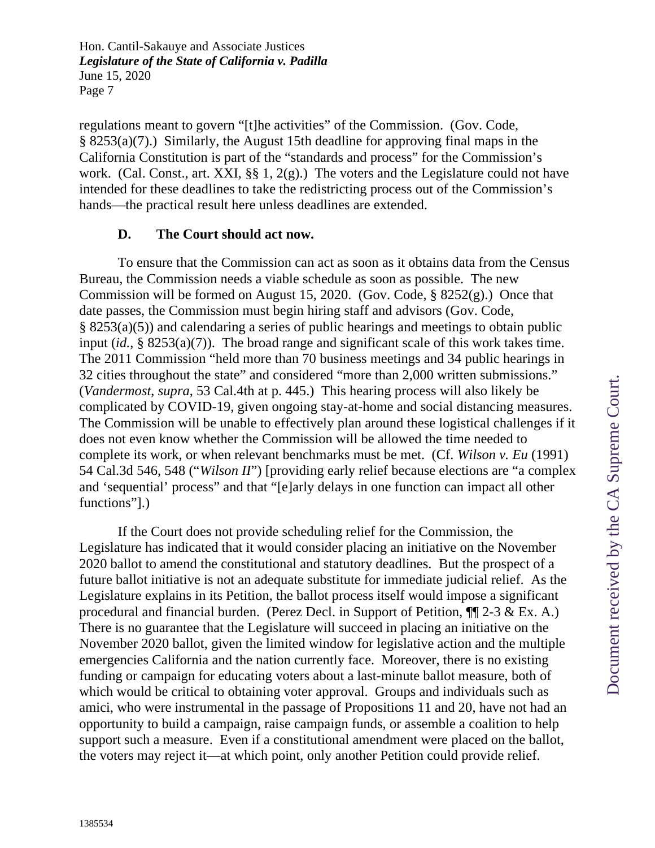regulations meant to govern "[t]he activities" of the Commission. (Gov. Code, § 8253(a)(7).) Similarly, the August 15th deadline for approving final maps in the California Constitution is part of the "standards and process" for the Commission's work. (Cal. Const., art. XXI,  $\S$  $\S$  1,  $2(g)$ .) The voters and the Legislature could not have intended for these deadlines to take the redistricting process out of the Commission's hands—the practical result here unless deadlines are extended.

#### **D. The Court should act now.**

To ensure that the Commission can act as soon as it obtains data from the Census Bureau, the Commission needs a viable schedule as soon as possible. The new Commission will be formed on August 15, 2020. (Gov. Code, § 8252(g).) Once that date passes, the Commission must begin hiring staff and advisors (Gov. Code, § 8253(a)(5)) and calendaring a series of public hearings and meetings to obtain public input (*id.*, § 8253(a)(7)). The broad range and significant scale of this work takes time. The 2011 Commission "held more than 70 business meetings and 34 public hearings in 32 cities throughout the state" and considered "more than 2,000 written submissions." (*Vandermost*, *supra*, 53 Cal.4th at p. 445.) This hearing process will also likely be complicated by COVID-19, given ongoing stay-at-home and social distancing measures. The Commission will be unable to effectively plan around these logistical challenges if it does not even know whether the Commission will be allowed the time needed to complete its work, or when relevant benchmarks must be met. (Cf. *Wilson v. Eu* (1991) 54 Cal.3d 546, 548 ("*Wilson II*") [providing early relief because elections are "a complex and 'sequential' process" and that "[e]arly delays in one function can impact all other functions"].)

If the Court does not provide scheduling relief for the Commission, the Legislature has indicated that it would consider placing an initiative on the November 2020 ballot to amend the constitutional and statutory deadlines. But the prospect of a future ballot initiative is not an adequate substitute for immediate judicial relief. As the Legislature explains in its Petition, the ballot process itself would impose a significant procedural and financial burden. (Perez Decl. in Support of Petition,  $\P$ [2-3 & Ex. A.) There is no guarantee that the Legislature will succeed in placing an initiative on the November 2020 ballot, given the limited window for legislative action and the multiple emergencies California and the nation currently face. Moreover, there is no existing funding or campaign for educating voters about a last-minute ballot measure, both of which would be critical to obtaining voter approval. Groups and individuals such as amici, who were instrumental in the passage of Propositions 11 and 20, have not had an opportunity to build a campaign, raise campaign funds, or assemble a coalition to help support such a measure. Even if a constitutional amendment were placed on the ballot, the voters may reject it—at which point, only another Petition could provide relief.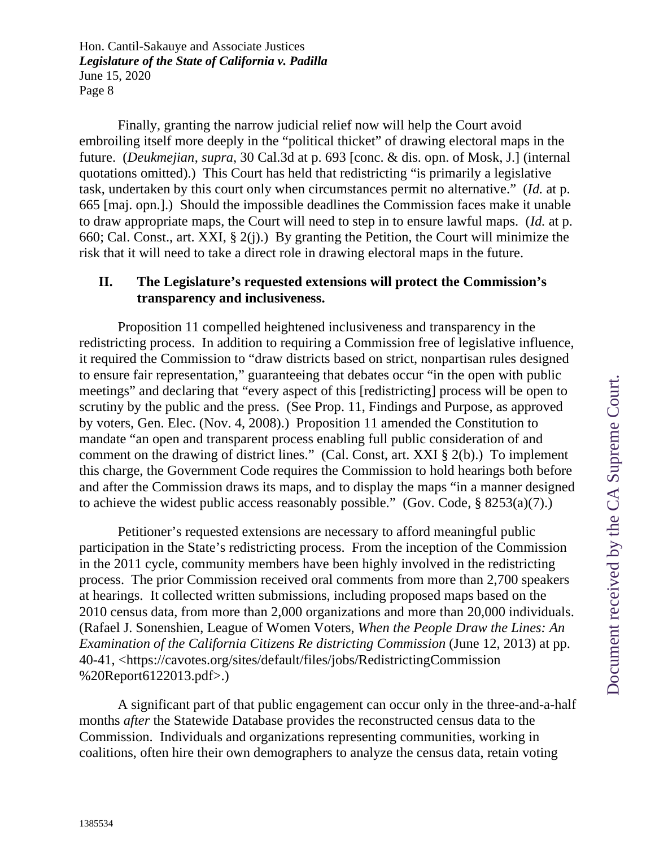Finally, granting the narrow judicial relief now will help the Court avoid embroiling itself more deeply in the "political thicket" of drawing electoral maps in the future. (*Deukmejian*, *supra*, 30 Cal.3d at p. 693 [conc. & dis. opn. of Mosk, J.] (internal quotations omitted).) This Court has held that redistricting "is primarily a legislative task, undertaken by this court only when circumstances permit no alternative." (*Id.* at p. 665 [maj. opn.].) Should the impossible deadlines the Commission faces make it unable to draw appropriate maps, the Court will need to step in to ensure lawful maps. (*Id.* at p. 660; Cal. Const., art. XXI, § 2(j).) By granting the Petition, the Court will minimize the risk that it will need to take a direct role in drawing electoral maps in the future.

#### **II. The Legislature's requested extensions will protect the Commission's transparency and inclusiveness.**

Proposition 11 compelled heightened inclusiveness and transparency in the redistricting process. In addition to requiring a Commission free of legislative influence, it required the Commission to "draw districts based on strict, nonpartisan rules designed to ensure fair representation," guaranteeing that debates occur "in the open with public meetings" and declaring that "every aspect of this [redistricting] process will be open to scrutiny by the public and the press. (See Prop. 11, Findings and Purpose, as approved by voters, Gen. Elec. (Nov. 4, 2008).) Proposition 11 amended the Constitution to mandate "an open and transparent process enabling full public consideration of and comment on the drawing of district lines." (Cal. Const, art. XXI § 2(b).) To implement this charge, the Government Code requires the Commission to hold hearings both before and after the Commission draws its maps, and to display the maps "in a manner designed to achieve the widest public access reasonably possible." (Gov. Code, § 8253(a)(7).)

Petitioner's requested extensions are necessary to afford meaningful public participation in the State's redistricting process. From the inception of the Commission in the 2011 cycle, community members have been highly involved in the redistricting process. The prior Commission received oral comments from more than 2,700 speakers at hearings. It collected written submissions, including proposed maps based on the 2010 census data, from more than 2,000 organizations and more than 20,000 individuals. (Rafael J. Sonenshien, League of Women Voters, *When the People Draw the Lines: An Examination of the California Citizens Re districting Commission (June 12, 2013)* at pp. 40-41, <https://cavotes.org/sites/default/files/jobs/RedistrictingCommission %20Report6122013.pdf>.)

A significant part of that public engagement can occur only in the three-and-a-half months *after* the Statewide Database provides the reconstructed census data to the Commission. Individuals and organizations representing communities, working in coalitions, often hire their own demographers to analyze the census data, retain voting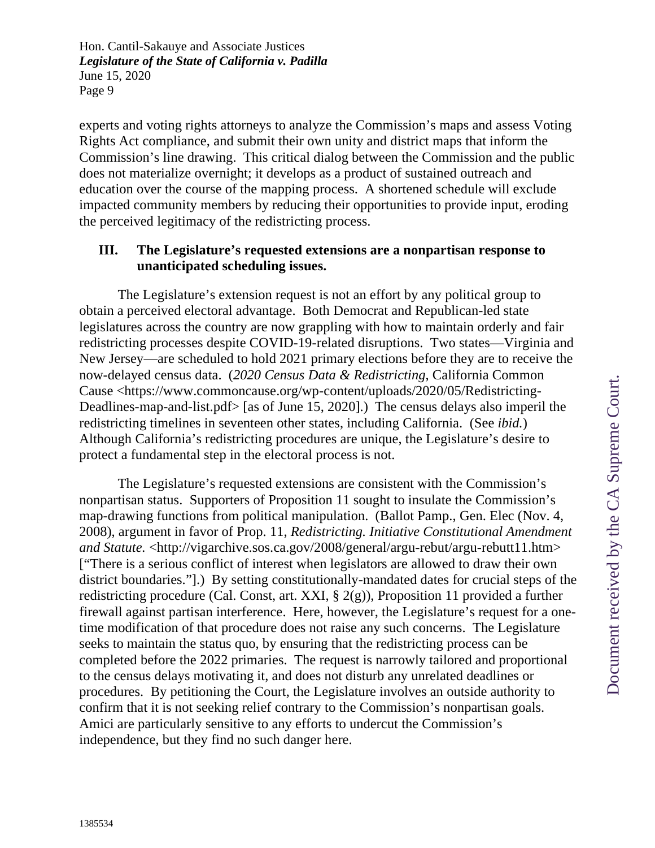experts and voting rights attorneys to analyze the Commission's maps and assess Voting Rights Act compliance, and submit their own unity and district maps that inform the Commission's line drawing. This critical dialog between the Commission and the public does not materialize overnight; it develops as a product of sustained outreach and education over the course of the mapping process. A shortened schedule will exclude impacted community members by reducing their opportunities to provide input, eroding the perceived legitimacy of the redistricting process.

#### **III. The Legislature's requested extensions are a nonpartisan response to unanticipated scheduling issues.**

The Legislature's extension request is not an effort by any political group to obtain a perceived electoral advantage. Both Democrat and Republican-led state legislatures across the country are now grappling with how to maintain orderly and fair redistricting processes despite COVID-19-related disruptions. Two states—Virginia and New Jersey—are scheduled to hold 2021 primary elections before they are to receive the now-delayed census data. (*2020 Census Data & Redistricting*, California Common Cause <https://www.commoncause.org/wp-content/uploads/2020/05/Redistricting-Deadlines-map-and-list.pdf> [as of June 15, 2020].) The census delays also imperil the redistricting timelines in seventeen other states, including California. (See *ibid.*) Although California's redistricting procedures are unique, the Legislature's desire to protect a fundamental step in the electoral process is not.

The Legislature's requested extensions are consistent with the Commission's nonpartisan status. Supporters of Proposition 11 sought to insulate the Commission's map-drawing functions from political manipulation. (Ballot Pamp., Gen. Elec (Nov. 4, 2008), argument in favor of Prop. 11, *Redistricting. Initiative Constitutional Amendment and Statute.* <http://vigarchive.sos.ca.gov/2008/general/argu-rebut/argu-rebutt11.htm> ["There is a serious conflict of interest when legislators are allowed to draw their own district boundaries."].) By setting constitutionally-mandated dates for crucial steps of the redistricting procedure (Cal. Const, art. XXI, § 2(g)), Proposition 11 provided a further firewall against partisan interference. Here, however, the Legislature's request for a onetime modification of that procedure does not raise any such concerns. The Legislature seeks to maintain the status quo, by ensuring that the redistricting process can be completed before the 2022 primaries. The request is narrowly tailored and proportional to the census delays motivating it, and does not disturb any unrelated deadlines or procedures. By petitioning the Court, the Legislature involves an outside authority to confirm that it is not seeking relief contrary to the Commission's nonpartisan goals. Amici are particularly sensitive to any efforts to undercut the Commission's independence, but they find no such danger here.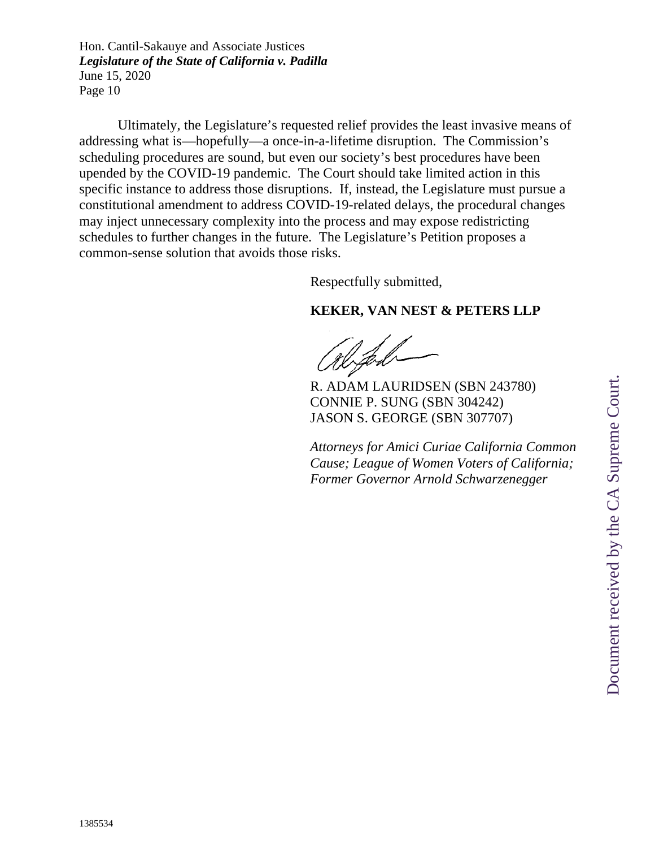Ultimately, the Legislature's requested relief provides the least invasive means of addressing what is—hopefully—a once-in-a-lifetime disruption. The Commission's scheduling procedures are sound, but even our society's best procedures have been upended by the COVID-19 pandemic. The Court should take limited action in this specific instance to address those disruptions. If, instead, the Legislature must pursue a constitutional amendment to address COVID-19-related delays, the procedural changes may inject unnecessary complexity into the process and may expose redistricting schedules to further changes in the future. The Legislature's Petition proposes a common-sense solution that avoids those risks.

Respectfully submitted,

# **KEKER, VAN NEST & PETERS LLP**

R. ADAM LAURIDSEN (SBN 243780) CONNIE P. SUNG (SBN 304242) JASON S. GEORGE (SBN 307707)

*Attorneys for Amici Curiae California Common Cause; League of Women Voters of California; Former Governor Arnold Schwarzenegger*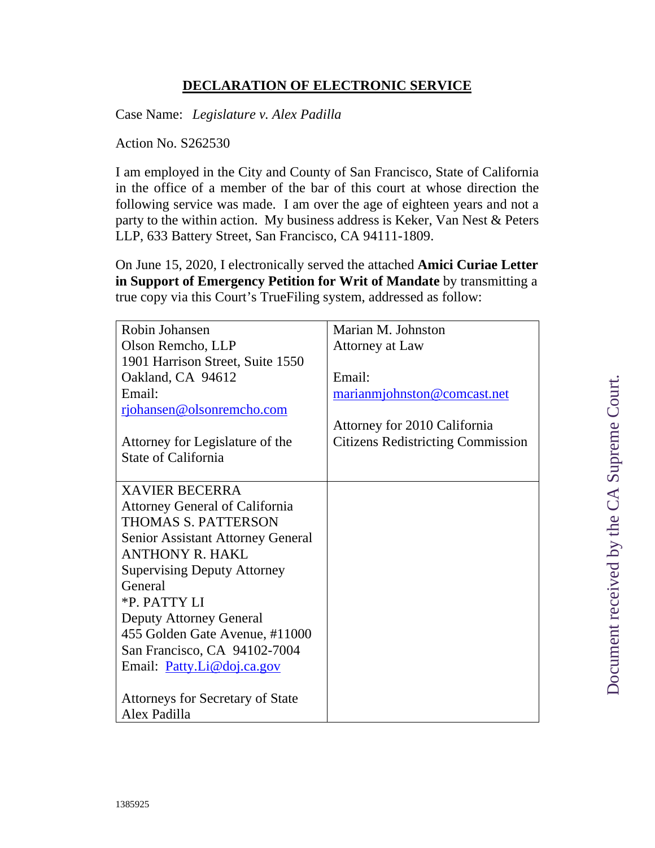# **DECLARATION OF ELECTRONIC SERVICE**

Case Name: *Legislature v. Alex Padilla*

Action No. S262530

I am employed in the City and County of San Francisco, State of California in the office of a member of the bar of this court at whose direction the following service was made. I am over the age of eighteen years and not a party to the within action. My business address is Keker, Van Nest & Peters LLP, 633 Battery Street, San Francisco, CA 94111-1809.

On June 15, 2020, I electronically served the attached **Amici Curiae Letter in Support of Emergency Petition for Writ of Mandate** by transmitting a true copy via this Court's TrueFiling system, addressed as follow:

| Robin Johansen                           | Marian M. Johnston                       |
|------------------------------------------|------------------------------------------|
| Olson Remcho, LLP                        | Attorney at Law                          |
| 1901 Harrison Street, Suite 1550         |                                          |
| Oakland, CA 94612                        | Email:                                   |
| Email:                                   | marianmiohnston@comcast.net              |
| rjohansen@olsonremcho.com                |                                          |
|                                          | Attorney for 2010 California             |
| Attorney for Legislature of the          | <b>Citizens Redistricting Commission</b> |
| <b>State of California</b>               |                                          |
|                                          |                                          |
| <b>XAVIER BECERRA</b>                    |                                          |
| <b>Attorney General of California</b>    |                                          |
| <b>THOMAS S. PATTERSON</b>               |                                          |
| <b>Senior Assistant Attorney General</b> |                                          |
| <b>ANTHONY R. HAKL</b>                   |                                          |
| <b>Supervising Deputy Attorney</b>       |                                          |
| General                                  |                                          |
| *P. PATTY LI                             |                                          |
| <b>Deputy Attorney General</b>           |                                          |
| 455 Golden Gate Avenue, #11000           |                                          |
| San Francisco, CA 94102-7004             |                                          |
| Email: Patty.Li@doj.ca.gov               |                                          |
|                                          |                                          |
| <b>Attorneys for Secretary of State</b>  |                                          |
| Alex Padilla                             |                                          |